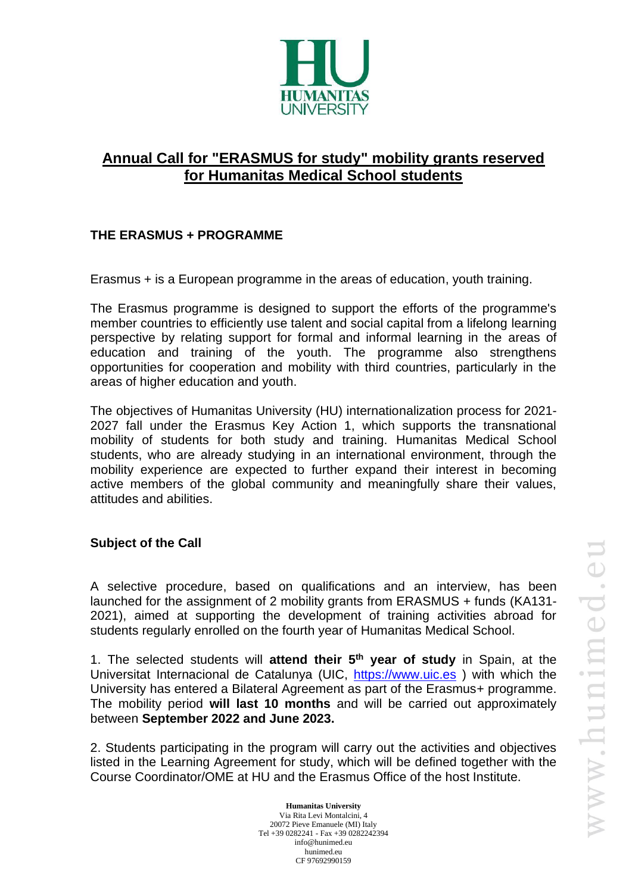

# **Annual Call for "ERASMUS for study" mobility grants reserved for Humanitas Medical School students**

# **THE ERASMUS + PROGRAMME**

Erasmus + is a European programme in the areas of education, youth training.

The Erasmus programme is designed to support the efforts of the programme's member countries to efficiently use talent and social capital from a lifelong learning perspective by relating support for formal and informal learning in the areas of education and training of the youth. The programme also strengthens opportunities for cooperation and mobility with third countries, particularly in the areas of higher education and youth.

The objectives of Humanitas University (HU) internationalization process for 2021- 2027 fall under the Erasmus Key Action 1, which supports the transnational mobility of students for both study and training. Humanitas Medical School students, who are already studying in an international environment, through the mobility experience are expected to further expand their interest in becoming active members of the global community and meaningfully share their values, attitudes and abilities.

## **Subject of the Call**

A selective procedure, based on qualifications and an interview, has been launched for the assignment of 2 mobility grants from ERASMUS + funds (KA131- 2021), aimed at supporting the development of training activities abroad for students regularly enrolled on the fourth year of Humanitas Medical School.

1. The selected students will **attend their 5 th year of study** in Spain, at the Universitat Internacional de Catalunya (UIC, [https://www.uic.es](https://www.uic.es/) ) with which the University has entered a Bilateral Agreement as part of the Erasmus+ programme. The mobility period **will last 10 months** and will be carried out approximately between **September 2022 and June 2023.**

2. Students participating in the program will carry out the activities and objectives listed in the Learning Agreement for study, which will be defined together with the Course Coordinator/OME at HU and the Erasmus Office of the host Institute.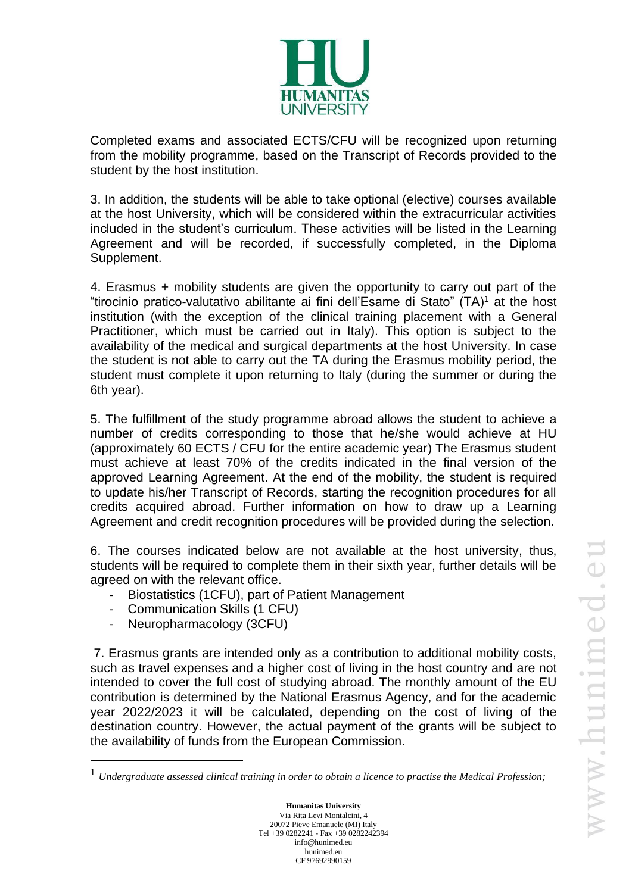

Completed exams and associated ECTS/CFU will be recognized upon returning from the mobility programme, based on the Transcript of Records provided to the student by the host institution.

3. In addition, the students will be able to take optional (elective) courses available at the host University, which will be considered within the extracurricular activities included in the student's curriculum. These activities will be listed in the Learning Agreement and will be recorded, if successfully completed, in the Diploma Supplement.

4. Erasmus + mobility students are given the opportunity to carry out part of the "tirocinio pratico-valutativo abilitante ai fini dell'Esame di Stato" (TA)<sup>1</sup> at the host institution (with the exception of the clinical training placement with a General Practitioner, which must be carried out in Italy). This option is subject to the availability of the medical and surgical departments at the host University. In case the student is not able to carry out the TA during the Erasmus mobility period, the student must complete it upon returning to Italy (during the summer or during the 6th year).

5. The fulfillment of the study programme abroad allows the student to achieve a number of credits corresponding to those that he/she would achieve at HU (approximately 60 ECTS / CFU for the entire academic year) The Erasmus student must achieve at least 70% of the credits indicated in the final version of the approved Learning Agreement. At the end of the mobility, the student is required to update his/her Transcript of Records, starting the recognition procedures for all credits acquired abroad. Further information on how to draw up a Learning Agreement and credit recognition procedures will be provided during the selection.

6. The courses indicated below are not available at the host university, thus, students will be required to complete them in their sixth year, further details will be agreed on with the relevant office.

- Biostatistics (1CFU), part of Patient Management
- Communication Skills (1 CFU)
- Neuropharmacology (3CFU)

7. Erasmus grants are intended only as a contribution to additional mobility costs, such as travel expenses and a higher cost of living in the host country and are not intended to cover the full cost of studying abroad. The monthly amount of the EU contribution is determined by the National Erasmus Agency, and for the academic year 2022/2023 it will be calculated, depending on the cost of living of the destination country. However, the actual payment of the grants will be subject to the availability of funds from the European Commission.

<sup>1</sup> *Undergraduate assessed clinical training in order to obtain a licence to practise the Medical Profession;*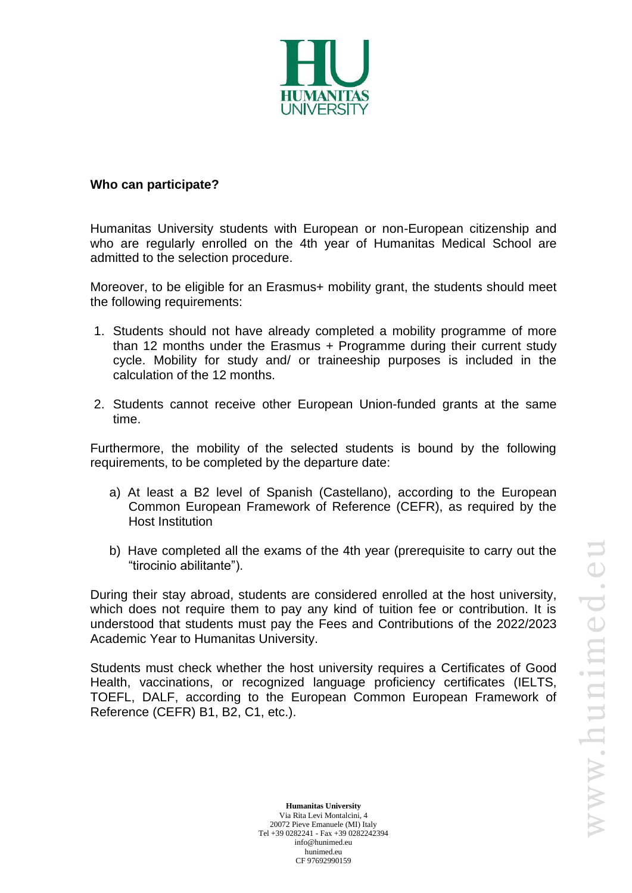

#### **Who can participate?**

Humanitas University students with European or non-European citizenship and who are regularly enrolled on the 4th year of Humanitas Medical School are admitted to the selection procedure.

Moreover, to be eligible for an Erasmus+ mobility grant, the students should meet the following requirements:

- 1. Students should not have already completed a mobility programme of more than 12 months under the Erasmus + Programme during their current study cycle. Mobility for study and/ or traineeship purposes is included in the calculation of the 12 months.
- 2. Students cannot receive other European Union-funded grants at the same time.

Furthermore, the mobility of the selected students is bound by the following requirements, to be completed by the departure date:

- a) At least a B2 level of Spanish (Castellano), according to the European Common European Framework of Reference (CEFR), as required by the Host Institution
- b) Have completed all the exams of the 4th year (prerequisite to carry out the "tirocinio abilitante").

During their stay abroad, students are considered enrolled at the host university, which does not require them to pay any kind of tuition fee or contribution. It is understood that students must pay the Fees and Contributions of the 2022/2023 Academic Year to Humanitas University.

Students must check whether the host university requires a Certificates of Good Health, vaccinations, or recognized language proficiency certificates (IELTS, TOEFL, DALF, according to the European Common European Framework of Reference (CEFR) B1, B2, C1, etc.).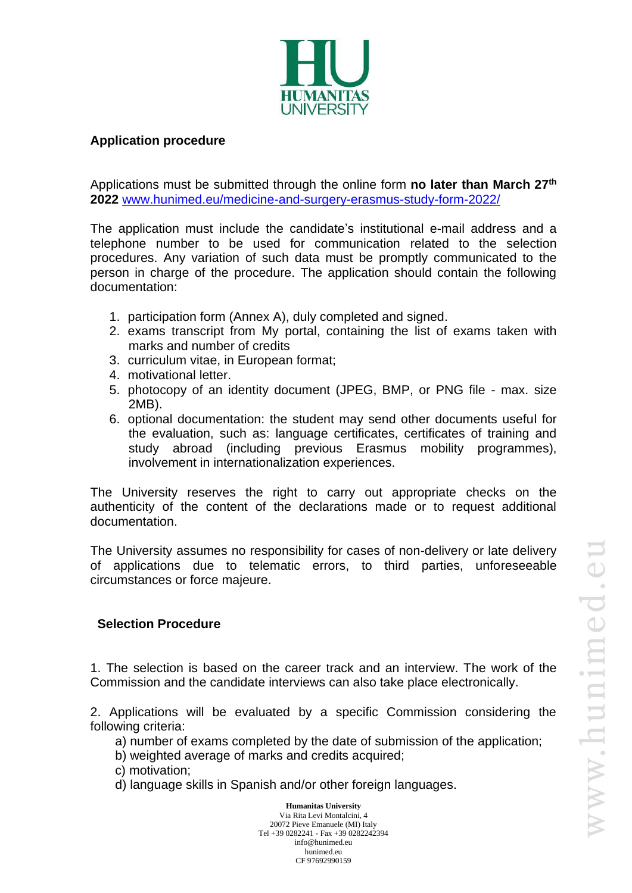

#### **Application procedure**

Applications must be submitted through the online form **no later than March 27 th 2022** [www.hunimed.eu/medicine-and-surgery-erasmus-study-form-2022/](http://www.hunimed.eu/medicine-and-surgery-erasmus-study-form-2022/)

The application must include the candidate's institutional e-mail address and a telephone number to be used for communication related to the selection procedures. Any variation of such data must be promptly communicated to the person in charge of the procedure. The application should contain the following documentation:

- 1. participation form (Annex A), duly completed and signed.
- 2. exams transcript from My portal, containing the list of exams taken with marks and number of credits
- 3. curriculum vitae, in European format;
- 4. motivational letter.
- 5. photocopy of an identity document (JPEG, BMP, or PNG file max. size 2MB).
- 6. optional documentation: the student may send other documents useful for the evaluation, such as: language certificates, certificates of training and study abroad (including previous Erasmus mobility programmes), involvement in internationalization experiences.

The University reserves the right to carry out appropriate checks on the authenticity of the content of the declarations made or to request additional documentation.

The University assumes no responsibility for cases of non-delivery or late delivery of applications due to telematic errors, to third parties, unforeseeable circumstances or force majeure.

#### **Selection Procedure**

1. The selection is based on the career track and an interview. The work of the Commission and the candidate interviews can also take place electronically.

2. Applications will be evaluated by a specific Commission considering the following criteria:

- a) number of exams completed by the date of submission of the application;
- b) weighted average of marks and credits acquired;
- c) motivation;
- d) language skills in Spanish and/or other foreign languages.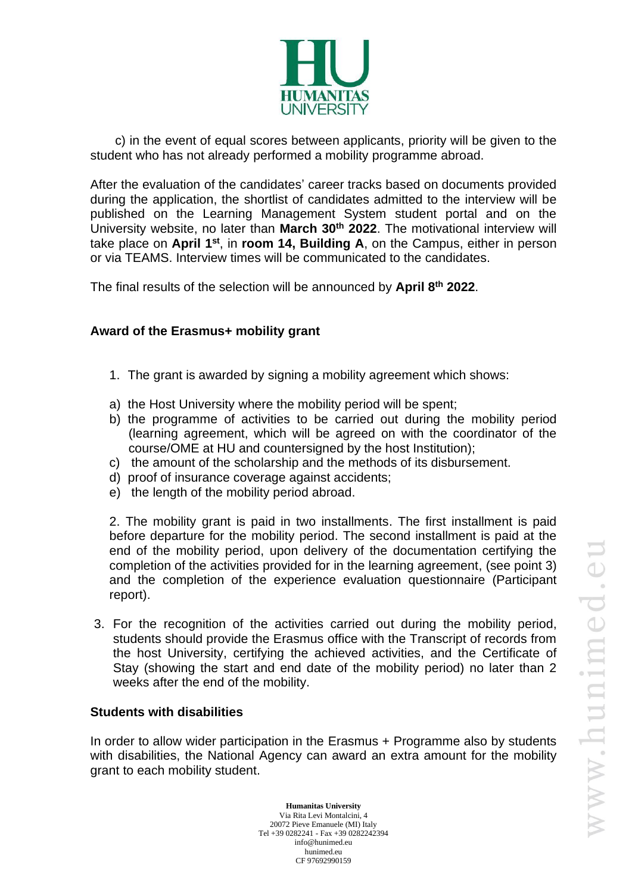

 c) in the event of equal scores between applicants, priority will be given to the student who has not already performed a mobility programme abroad.

After the evaluation of the candidates' career tracks based on documents provided during the application, the shortlist of candidates admitted to the interview will be published on the Learning Management System student portal and on the University website, no later than **March 30th 2022**. The motivational interview will take place on April 1<sup>st</sup>, in room 14, Building A, on the Campus, either in person or via TEAMS. Interview times will be communicated to the candidates.

The final results of the selection will be announced by **April 8 th 2022**.

## **Award of the Erasmus+ mobility grant**

- 1. The grant is awarded by signing a mobility agreement which shows:
- a) the Host University where the mobility period will be spent;
- b) the programme of activities to be carried out during the mobility period (learning agreement, which will be agreed on with the coordinator of the course/OME at HU and countersigned by the host Institution);
- c) the amount of the scholarship and the methods of its disbursement.
- d) proof of insurance coverage against accidents;
- e) the length of the mobility period abroad.

2. The mobility grant is paid in two installments. The first installment is paid before departure for the mobility period. The second installment is paid at the end of the mobility period, upon delivery of the documentation certifying the completion of the activities provided for in the learning agreement, (see point 3) and the completion of the experience evaluation questionnaire (Participant report).

3. For the recognition of the activities carried out during the mobility period, students should provide the Erasmus office with the Transcript of records from the host University, certifying the achieved activities, and the Certificate of Stay (showing the start and end date of the mobility period) no later than 2 weeks after the end of the mobility.

#### **Students with disabilities**

In order to allow wider participation in the Erasmus + Programme also by students with disabilities, the National Agency can award an extra amount for the mobility grant to each mobility student.